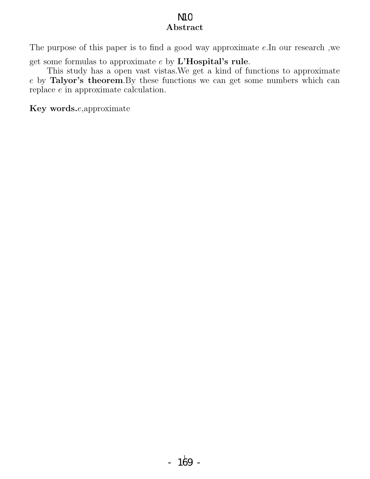## Abstract N<sub>1</sub>C

The purpose of this paper is to find a good way approximate e.In our research ,we get some formulas to approximate  $e$  by  $\mathbf{L}'\mathbf{Hospital}'\mathbf{s}$  rule.

This study has a open vast vistas.We get a kind of functions to approximate e by Talyor's theorem.By these functions we can get some numbers which can replace e in approximate calculation.

Key words.e,approximate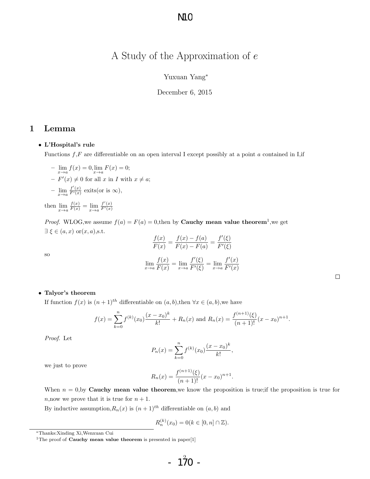# A Study of the Approximation of e

### Yuxuan Yang<sup>∗</sup>

December 6, 2015

### 1 Lemma

#### • L'Hospital's rule

Functions  $f$ , F are differentiable on an open interval I except possibly at a point  $a$  contained in I, if

 $-\lim_{x\to a} f(x) = 0, \lim_{x\to a} F(x) = 0;$  $-F'(x) \neq 0$  for all x in I with  $x \neq a$ ;  $- \lim_{x \to a} \frac{f'(x)}{F'(x)}$  exits(or is  $\infty$ ),

then  $\lim_{x \to a} \frac{f(x)}{F(x)} = \lim_{x \to a} \frac{f'(x)}{F'(x)}$ 

*Proof.* WLOG, we assume  $f(a) = F(a) = 0$ , then by **Cauchy mean value theorem**<sup>1</sup>, we get  $\exists \xi \in (a, x) \text{ or } (x, a), \text{s.t.}$ 

$$
\frac{f(x)}{F(x)} = \frac{f(x) - f(a)}{F(x) - F(a)} = \frac{f'(\xi)}{F'(\xi)}
$$

$$
\lim_{x \to a} \frac{f(x)}{F(x)} = \lim_{x \to a} \frac{f'(\xi)}{F'(\xi)} = \lim_{x \to a} \frac{f'(x)}{F'(x)}
$$

#### • Talyor's theorem

If function  $f(x)$  is  $(n+1)^{th}$  differentiable on  $(a, b)$ , then  $\forall x \in (a, b)$ , we have

$$
f(x) = \sum_{k=0}^{n} f^{(k)}(x_0) \frac{(x - x_0)^k}{k!} + R_n(x)
$$
 and  $R_n(x) = \frac{f^{(n+1)}(\xi)}{(n+1)!} (x - x_0)^{n+1}.$ 

Proof. Let

so

$$
P_n(x) = \sum_{k=0}^n f^{(k)}(x_0) \frac{(x - x_0)^k}{k!},
$$

we just to prove

$$
R_n(x) = \frac{f^{(n+1)}(\xi)}{(n+1)!} (x - x_0)^{n+1}.
$$

When  $n = 0$ , by **Cauchy mean value theorem**, we know the proposition is true; if the proposition is true for n, now we prove that it is true for  $n + 1$ .

By inductive assumption,  $R_n(x)$  is  $(n+1)^{th}$  differentiable on  $(a, b)$  and

$$
R_n^{(k)}(x_0) = 0(k \in [0, n] \cap \mathbb{Z}).
$$

<sup>∗</sup>Thanks:Xinding Xi,Wenxuan Cui

<sup>&</sup>lt;sup>1</sup>The proof of **Cauchy mean value theorem** is presented in paper[1]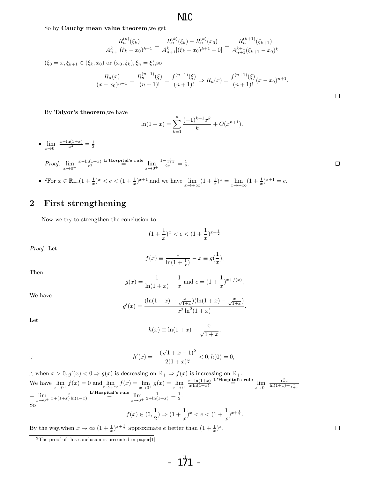**N1C** 

So by Cauchy mean value theorem,we get

$$
\frac{R_n^{(k)}(\xi_k)}{A_{n+1}^k(\xi_k-x_0)^{k+1}} = \frac{R_n^{(k)}(\xi_k) - R_n^{(k)}(x_0)}{A_{n+1}^k[(\xi_k-x_0)^{k+1}-0]} = \frac{R_n^{(k+1)}(\xi_{k+1})}{A_{n+1}^{k+1}(\xi_{k+1}-x_0)^k}
$$

$$
(\xi_0 = x, \xi_{k+1} \in (\xi_k, x_0) \text{ or } (x_0, \xi_k), \xi_n = \xi),\text{so}
$$

$$
\frac{R_n(x)}{(x - x_0)^{n+1}} = \frac{R_n^{(n+1)}(\xi)}{(n+1)!} = \frac{f^{(n+1)}(\xi)}{(n+1)!} \Rightarrow R_n(x) = \frac{f^{(n+1)}(\xi)}{(n+1)!} (x - x_0)^{n+1}.
$$

By Talyor's theorem,we have

$$
\ln(1+x) = \sum_{k=1}^{n} \frac{(-1)^{k+1} x^k}{k} + O(x^{n+1}).
$$

•  $\lim_{x\to 0^+}$  $\frac{x-\ln(1+x)}{x^2} = \frac{1}{2}.$ 

> Proof.  $\lim_{x\to 0^+}$  $\frac{x-\ln(1+x)}{x^2}$  L'Hospital's rule  $\lim_{x\to 0^+}$  $\frac{1-\frac{1}{1+x}}{2x}=\frac{1}{2}.$

•  ${}^{2}$ For  $x \in \mathbb{R}_{+}$ ,  $(1 + \frac{1}{x})^{x} < e < (1 + \frac{1}{x})^{x+1}$ , and we have  $\lim_{x \to +\infty} (1 + \frac{1}{x})^{x} = \lim_{x \to +\infty} (1 + \frac{1}{x})^{x+1} = e$ .

## 2 First strengthening

Now we try to strengthen the conclusion to

$$
(1+\frac{1}{x})^x < e < (1+\frac{1}{x})^{x+\frac{1}{2}}
$$

Proof. Let

$$
f(x) \equiv \frac{1}{\ln(1 + \frac{1}{x})} - x \equiv g(\frac{1}{x}),
$$

Then

$$
g(x) = \frac{1}{\ln(1+x)} - \frac{1}{x}
$$
 and  $e = (1 + \frac{1}{x})^{x+f(x)}$ ,

We have

$$
g'(x) = \frac{(\ln(1+x) + \frac{x}{\sqrt{1+x}})(\ln(1+x) - \frac{x}{\sqrt{1+x}})}{x^2 \ln^2(1+x)}.
$$

Let

$$
h(x) \equiv \ln(1+x) - \frac{x}{\sqrt{1+x}},
$$

$$
h'(x) = -\frac{(\sqrt{1+x}-1)^2}{2(1+x)^{\frac{3}{2}}} < 0, h(0) = 0,
$$

∴ when  $x > 0, g'(x) < 0 \Rightarrow g(x)$  is decreasing on  $\mathbb{R}_+ \Rightarrow f(x)$  is increasing on  $\mathbb{R}_+$ . We have  $\lim_{x \to 0^+} f(x) = 0$  and  $\lim_{x \to +\infty} f(x) = \lim_{x \to 0^+} g(x) = \lim_{x \to 0^+} g(x)$  $x-ln(1+x)$  $\lim_{x \ln(1+x)} \frac{\text{L'Hospital's rule}}{x \ln(1+x)} = \lim_{x \to 0^+}$  $\frac{\frac{x}{1+x}}{\ln(1+x)+\frac{x}{1+x}}$  $=\lim_{x\to 0^+}$  $\frac{x}{x+(1+x)\ln(1+x)}$  L'Hospital's rule  $\lim_{x\to 0^+}$  $\frac{1}{2+\ln(1+x)} = \frac{1}{2}.$ So  $f(x) \in (0, \frac{1}{2})$  $\frac{1}{2}) \Rightarrow (1 + \frac{1}{x})^x < e < (1 + \frac{1}{x})^{x + \frac{1}{2}}.$ 

By the way,  
when 
$$
x \to \infty
$$
, $(1 + \frac{1}{x})^{x + \frac{1}{2}}$  approximate e better than  $(1 + \frac{1}{x})^x$ 

.

 $\Box$ 

 $\Box$ 

 $\Box$ 

 $\rm{^2The}$  proof of this conclusion is presented in paper[1]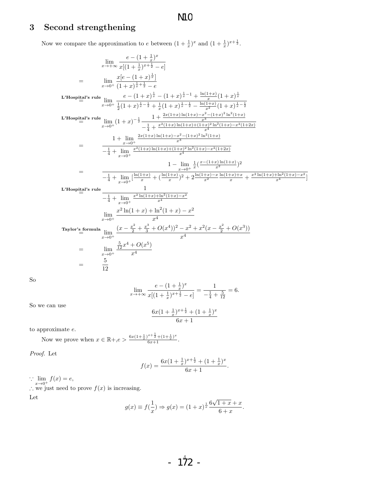# N1<sub>C</sub>

# 3 Second strengthening

Now we compare the approximation to e between  $(1 + \frac{1}{x})^x$  and  $(1 + \frac{1}{x})^{x + \frac{1}{2}}$ .

$$
\lim_{x \to +\infty} \frac{e - (1 + \frac{1}{x})^x}{x[(1 + \frac{1}{x})^{x + \frac{1}{2}} - e]}
$$
\n
$$
= \lim_{x \to 0^+} \frac{x[e - (1 + x)^{\frac{1}{x}}]}{(1 + x)^{\frac{1}{x} + \frac{1}{2}}} = e
$$
\nL'Hospital's rule\n
$$
\lim_{x \to 0^+} \frac{e - (1 + x)^{\frac{1}{x}} - (1 + x)^{\frac{1}{x} - 1} + \frac{\ln(1 + x)}{x} (1 + x)^{\frac{1}{x}}}{\frac{1}{x} (1 + x)^{\frac{1}{x} - \frac{1}{2}} + \frac{1}{x} (1 + x)^{\frac{1}{x} - \frac{1}{2}} - \frac{\ln(1 + x)}{x^2} (1 + x)^{\frac{1}{x} - \frac{1}{2}}}
$$
\nL'Hospital's rule\n
$$
\lim_{x \to 0^+} (1 + x)^{-\frac{1}{2}} \frac{1 + \frac{2x(1 + x)\ln(1 + x) - x^2 - (1 + x)^2 \ln^2(1 + x)}{x^2}}{-\frac{1}{4} + \frac{x^2(1 + x)\ln(1 + x) + (1 + x)^2 \ln^2(1 + x)}{x^4}}
$$
\n
$$
= \frac{1 + \lim_{x \to 0^+} \frac{2x(1 + x)\ln(1 + x) - x^2 - (1 + x)^2 \ln^2(1 + x)}{-x^3}}{-\frac{1}{4} + \lim_{x \to 0^+} \frac{x^2(1 + x)\ln(1 + x) + (1 + x)^2 \ln^2(1 + x) - x^2(1 + 2x)}{x^4}}
$$
\n
$$
= \frac{1 - \lim_{x \to 0^+} \frac{1}{x} \frac{x(-1 + x)\ln(1 + x)}{x^4}
$$
\nL'Hospital's rule\n
$$
\frac{1}{- \frac{1}{4} + \lim_{x \to 0^+} \frac{[\ln(1 + x) + (\ln(1 + x) + \ln^2(1 + x) - x^2(1 + 2x)]}{x^2}}{1 - \frac{1}{4} + \lim_{x \to 0^+} \frac{x^2 \ln(1 + x) + \ln^2(1 + x) - x^2}{x^4}}
$$
\nL'Hospital's rule\n
$$
\lim
$$

So

$$
\lim_{x \to +\infty} \frac{e - (1 + \frac{1}{x})^x}{x[(1 + \frac{1}{x})^{x + \frac{1}{2}} - e]} = \frac{1}{-\frac{1}{4} + \frac{5}{12}} = 6.
$$

So we can use

$$
\frac{6x(1+\frac{1}{x})^{x+\frac{1}{2}} + (1+\frac{1}{x})^x}{6x+1}
$$

to approximate e.

Now we prove when  $x \in \mathbb{R} + \infty$   $\frac{6x(1+\frac{1}{x})^{x+\frac{1}{2}} + (1+\frac{1}{x})^x}{6x+1}$ .

12

Proof. Let

$$
f(x) = \frac{6x(1+\frac{1}{x})^{x+\frac{1}{2}} + (1+\frac{1}{x})^x}{6x+1}.
$$

 $\therefore \lim_{x \to 0^+} f(x) = e,$ 

∴ we just need to prove  $f(x)$  is increasing.

Let

$$
g(x) \equiv f(\frac{1}{x}) \Rightarrow g(x) = (1+x)^{\frac{1}{x}} \frac{6\sqrt{1+x} + x}{6+x}.
$$

$$
-1^4\!\!2^2
$$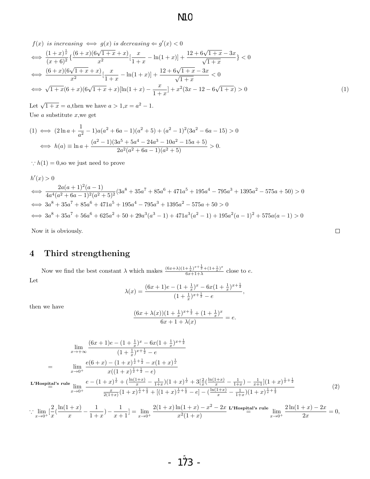**N1C** 

$$
f(x) \text{ is increasing } \Longleftrightarrow g(x) \text{ is decreasing } \Longleftrightarrow g'(x) < 0
$$
  
\n
$$
\Longleftrightarrow \frac{(1+x)^{\frac{1}{x}}}{(x+6)^2} \left\{ \frac{(6+x)(6\sqrt{1+x}+x)}{x^2} \left[ \frac{x}{1+x} - \ln(1+x) \right] + \frac{12+6\sqrt{1+x}-3x}{\sqrt{1+x}} \right\} < 0
$$
  
\n
$$
\Longleftrightarrow \frac{(6+x)(6\sqrt{1+x}+x)}{x^2} \left[ \frac{x}{1+x} - \ln(1+x) \right] + \frac{12+6\sqrt{1+x}-3x}{\sqrt{1+x}} < 0
$$
  
\n
$$
\Longleftrightarrow \sqrt{1+x}(6+x)(6\sqrt{1+x}+x)\left[ \ln(1+x) - \frac{x}{1+x} \right] + x^2(3x-12-6\sqrt{1+x}) > 0
$$
\n(1)

Let  $\sqrt{1+x} = a$ , then we have  $a > 1$ ,  $x = a^2 - 1$ . Use  $a$  substitute  $x$ , we get

$$
(1) \iff (2\ln a + \frac{1}{a^2} - 1)a(a^2 + 6a - 1)(a^2 + 5) + (a^2 - 1)^2(3a^2 - 6a - 15) > 0
$$
\n
$$
\iff h(a) \equiv \ln a + \frac{(a^2 - 1)(3a^5 + 5a^4 - 24a^3 - 10a^2 - 15a + 5)}{2a^2(a^2 + 6a - 1)(a^2 + 5)} > 0.
$$

:  $h(1) = 0$ , so we just need to prove

$$
h'(x) > 0
$$
  
\n
$$
\iff \frac{2a(a+1)^2(a-1)}{4a^4(a^2+6a-1)^2(a^2+5)^2}(3a^8+35a^7+85a^6+471a^5+195a^4-795a^3+1395a^2-575a+50) > 0
$$
  
\n
$$
\iff 3a^8+35a^7+85a^6+471a^5+195a^4-795a^3+1395a^2-575a+50 > 0
$$
  
\n
$$
\iff 3a^8+35a^7+56a^6+625a^2+50+29a^3(a^3-1)+471a^3(a^2-1)+195a^2(a-1)^2+575a(a-1) > 0
$$

Now it is obviously.

## 4 Third strengthening

Now we find the best constant  $\lambda$  which makes  $\frac{(6x+\lambda)(1+\frac{1}{x})^{x+\frac{1}{2}}+(1+\frac{1}{x})^{x}}{6x+1+\lambda}$  $\frac{+\frac{+}{x}}{6x+1+\lambda}$  close to e. Let

$$
\lambda(x) = \frac{(6x+1)e - (1+\frac{1}{x})^x - 6x(1+\frac{1}{x})^{x+\frac{1}{2}}}{(1+\frac{1}{x})^{x+\frac{1}{2}} - e},
$$

then we have

$$
\frac{(6x+\lambda(x))(1+\frac{1}{x})^{x+\frac{1}{2}}+(1+\frac{1}{x})^x}{6x+1+\lambda(x)}=e.
$$

$$
\lim_{x \to +\infty} \frac{(6x+1)e - (1+\frac{1}{x})^x - 6x(1+\frac{1}{x})^{x+\frac{1}{2}}}{(1+\frac{1}{x})^{x+\frac{1}{2}} - e}
$$
\n
$$
= \lim_{x \to 0^+} \frac{e(6+x) - (1+x)^{\frac{1}{x} + \frac{1}{2}} - x(1+x)^{\frac{1}{x}}}{x((1+x)^{\frac{1}{x} + \frac{1}{2}} - e)}
$$
\nL'Hospital's rule\n
$$
\lim_{x \to 0^+} \frac{e - (1+x)^{\frac{1}{x}} + (\frac{\ln(1+x)}{x} - \frac{1}{1+x})(1+x)^{\frac{1}{x}} + 3[\frac{2}{x}(\frac{\ln(1+x)}{x} - \frac{1}{1+x}) - \frac{1}{x+1}](1+x)^{\frac{1}{x} + \frac{1}{2}}}{\frac{x}{2(1+x)}(1+x)^{\frac{1}{x} + \frac{1}{2}} + [(1+x)^{\frac{1}{x} + \frac{1}{2}} - e] - (\frac{\ln(1+x)}{x} - \frac{1}{1+x})(1+x)^{\frac{1}{x} + \frac{1}{2}}}
$$
\n(2)

$$
\therefore \lim_{x \to 0^+} \left[ \frac{2}{x} \left( \frac{\ln(1+x)}{x} - \frac{1}{1+x} \right) - \frac{1}{x+1} \right] = \lim_{x \to 0^+} \frac{2(1+x)\ln(1+x) - x^2 - 2x}{x^2(1+x)} \xrightarrow{L'Hospital's rule} \lim_{x \to 0^+} \frac{2\ln(1+x) - 2x}{2x} = 0,
$$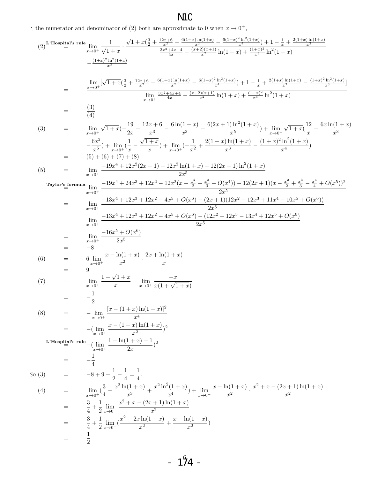# N1<sub>C</sub>

∴ the numerator and denominator of (2) both are approximate to 0 when  $x \to 0^+$ ,

(2)<sup>L'Hospital's null</sup> 
$$
\frac{\lim}{z+0} \frac{1}{\sqrt{1+x}} \cdot \frac{\sqrt{1+x}(\frac{3}{2} + \frac{13x+6}{2}) - \frac{6(1+x)}{20}(\frac{1+x}{2}) - \frac{6(1+x)^2 \ln^2(1+x)}{x^2} - \frac{6(1+x)^2 \ln^2(1+x)}{x^2} - \frac{6(1+x)^2 \ln^2(1+x)}{x^2} - \frac{6(1+x)^2 \ln^2(1+x)}{x^2} - \frac{6(1+x)^2 \ln^2(1+x)}{x^2} - \frac{6(1+x)^2 \ln^2(1+x)}{x^2} - \frac{1}{(1+x)^2} \ln^2(1+x) - \frac{1}{(1+x)^2} \ln^2(1+x)} - \frac{1}{(1+x)^2} \ln^2(1+x) - \frac{1}{(1+x)^2} \ln^2(1+x) - \frac{1}{(1+x)^2} \ln^2(1+x) - \frac{1}{(1+x)^2} \ln^2(1+x) - \frac{1}{(1+x)^2} \ln^2(1+x) - \frac{1}{(1+x)^2} \ln^2(1+x) - \frac{1}{(1+x)^2} \ln^2(1+x) - \frac{1}{(1+x)^2} \ln^2(1+x) - \frac{1}{(1+x)^2} \ln^2(1+x) - \frac{1}{(1+x)^2} \ln^2(1+x) - \frac{1}{(1+x)^2} \ln^2(1+x) - \frac{1}{(1+x)^2} \ln^2(1+x) - \frac{1}{(1+x)^2} \ln^2(1+x) - \frac{1}{(1+x)^2} \ln^2(1+x) - \frac{1}{(1+x)^2} \ln^2(1+x) - \frac{1}{(1+x)^2} \ln^2(1+x) - \frac{1}{(1+x)^2} \ln^2(1+x) - \frac{1}{(1+x)^2} \ln^2(1+x) - \frac{1}{(1+x)^2} \ln^2(1+x) - \frac{1}{(1+x)^2} \ln^2(1+x) - \frac{1}{(1+x)^2} \ln^2(1+x) - \frac{1}{(1+x)^2} \ln^2(1+x) - \frac{1}{(1+x)^2} \ln^2(1+x) - \frac{1}{(1+x)^2} \ln^2(1+x) - \frac{1}{(1+x)^2} \ln^2(1+x) - \frac
$$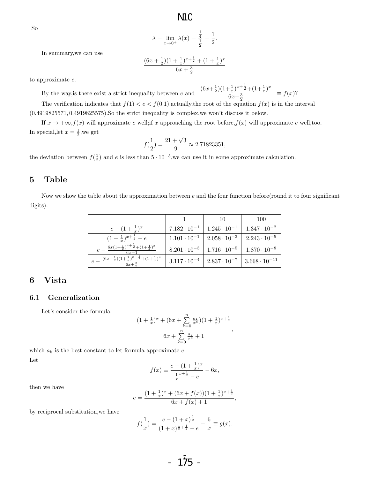So

$$
\lambda = \lim_{x \to 0^+} \lambda(x) = \frac{\frac{1}{4}}{\frac{1}{2}} = \frac{1}{2}.
$$

In summary,we can use

$$
\frac{(6x + \frac{1}{2})(1 + \frac{1}{x})^{x + \frac{1}{2}} + (1 + \frac{1}{x})^x}{6x + \frac{3}{2}}
$$

 $\frac{(6x+\frac{1}{2})(1+\frac{1}{x})^{x+\frac{1}{2}}+(1+\frac{1}{x})^x}{x+2+\frac{1}{2}+2x+1}$ 

 $\equiv f(x)$ ?

to approximate e.

By the way,<br>is there exist a strict inequality between  $\boldsymbol{e}$  and

 $6x + \frac{3}{2}$ The verification indicates that  $f(1) < e < f(0.1)$ , actually, the root of the equation  $f(x)$  is in the interval (0.4919825571, 0.4919825575).So the strict inequality is complex,we won't discuss it below.

If  $x \to +\infty$ ,  $f(x)$  will approximate e well;if x approaching the root before,  $f(x)$  will approximate e well,too. In special, let  $x = \frac{1}{2}$ , we get

$$
f(\frac{1}{2}) = \frac{21 + \sqrt{3}}{9} \approx 2.71823351,
$$

the deviation between  $f(\frac{1}{2})$  and e is less than  $5 \cdot 10^{-5}$ , we can use it in some approximate calculation.

### 5 Table

Now we show the table about the approximation between  $e$  and the four function before(round it to four significant digits).

|                                                                                  |                       | 10                                           | 100                                           |
|----------------------------------------------------------------------------------|-----------------------|----------------------------------------------|-----------------------------------------------|
| $e - (1 + \frac{1}{r})^x$                                                        | $7.182 \cdot 10^{-1}$ | $1.245 \cdot 10^{-1}$                        | $1.347 \cdot 10^{-2}$                         |
| $(1+\frac{1}{x})^{x+\frac{1}{2}}-e$                                              | $1.101 \cdot 10^{-1}$ | $2.058\cdot10^{-3}$                          | $2.243 \cdot 10^{-5}$                         |
| $e - \frac{6x(1+\frac{1}{x})^{x+\frac{1}{2}}+(1+\frac{1}{x})^x}{x}$<br>$6x+1$    | $8.201 \cdot 10^{-3}$ |                                              | $1.716 \cdot 10^{-5}$   $1.870 \cdot 10^{-8}$ |
| $e - \frac{(6x+\frac{1}{2})(1+\frac{1}{x})^{x+\frac{1}{2}}+(1+\frac{1}{x})^x}{}$ | $3.117 \cdot 10^{-4}$ | $2.837 \cdot 10^{-7}$ 3.668 $\cdot 10^{-11}$ |                                               |

### 6 Vista

### 6.1 Generalization

Let's consider the formula

$$
\frac{(1+\frac{1}{x})^x + (6x+\sum_{k=0}^n \frac{a_k}{x^k})(1+\frac{1}{x})^{x+\frac{1}{2}}}{6x+\sum_{k=0}^n \frac{a_k}{x^k}+1}
$$

,

which  $a_k$  is the best constant to let formula approximate  $e$ . Let

$$
f(x) \equiv \frac{e - (1 + \frac{1}{x})^x}{\frac{1}{x}^{x + \frac{1}{2}} - e} - 6x,
$$

then we have

$$
e = \frac{(1 + \frac{1}{x})^x + (6x + f(x))(1 + \frac{1}{x})^{x + \frac{1}{2}}}{6x + f(x) + 1},
$$

by reciprocal substitution,we have

$$
f(\frac{1}{x}) = \frac{e - (1+x)^{\frac{1}{x}}}{(1+x)^{\frac{1}{x} + \frac{1}{2}} - e} - \frac{6}{x} \equiv g(x).
$$

 $-1^{\frac{7}{25}}$  -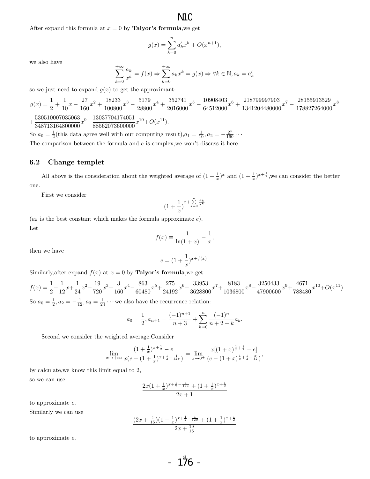### $\overline{\text{MC}}$

After expand this formula at  $x = 0$  by **Talyor's formula**, we get

$$
g(x) = \sum_{k=0}^{n} a'_k x^k + O(x^{n+1}),
$$

we also have

$$
\sum_{k=0}^{+\infty} \frac{a_k}{x^k} = f(x) \Rightarrow \sum_{k=0}^{+\infty} a_k x^k = g(x) \Rightarrow \forall k \in \mathbb{N}, a_k = a'_k
$$

so we just need to expand  $g(x)$  to get the approximant:

$$
g(x) = \frac{1}{2} + \frac{1}{10}x - \frac{27}{160}x^2 + \frac{18233}{100800}x^3 - \frac{5179}{28800}x^4 + \frac{352741}{2016000}x^5 - \frac{10908403}{64512000}x^6 + \frac{218799997903}{1341204480000}x^7 - \frac{28155913529}{178827264000}x^8
$$

 $+\frac{530510007035063}{340710164000000}$  $\frac{530510007035063}{348713164800000}x^9 - \frac{13037704174051}{88562073600000}$  $\frac{13037704174031}{88562073600000}x^{10}+O(x^{11}).$ 

So  $a_0 = \frac{1}{2}$ (this data agree well with our computing result), $a_1 = \frac{1}{10}$ ,  $a_2 = -\frac{27}{160} \cdots$ The comparison between the formula and  $e$  is complex,<br>we won't discuss it here.

#### 6.2 Change templet

All above is the consideration about the weighted average of  $(1+\frac{1}{x})^x$  and  $(1+\frac{1}{x})^{x+\frac{1}{2}}$ , we can consider the better one.

First we consider

$$
\big(1+\frac{1}{x}\big)^{x+\sum\limits_{k=0}^{n}\frac{a_k}{x^k}}
$$

 $(a_k)$  is the best constant which makes the formula approximate  $e$ ). Let

$$
f(x) \equiv \frac{1}{\ln(1+x)} - \frac{1}{x},
$$

then we have

$$
e = (1 + \frac{1}{x})^{x + f(x)}.
$$

Similarly, after expand  $f(x)$  at  $x = 0$  by **Talyor's formula**, we get

 $f(x) = \frac{1}{2} - \frac{1}{12}$  $\frac{1}{12}x + \frac{1}{24}$  $rac{1}{24}x^2 - \frac{19}{720}$  $\frac{19}{720}x^3 + \frac{3}{16}$  $\frac{3}{160}x^4 - \frac{863}{6048}$  $\frac{863}{60480}x^5 + \frac{275}{2419}$  $\frac{275}{24192}x^6 - \frac{33953}{362880}$  $\frac{33953}{3628800}x^{7}+\frac{8183}{103680}$  $\frac{8183}{1036800}x^8 - \frac{3250433}{47900600}$  $\frac{3250433}{47900600}x^9 + \frac{4671}{78848}$  $\frac{4071}{788480}x^{10} + O(x^{11}).$ So  $a_0 = \frac{1}{2}, a_2 = -\frac{1}{12}, a_3 = \frac{1}{24} \cdots$  we also have the recurrence relation:

$$
a_0 = \frac{1}{2}, a_{n+1} = \frac{(-1)^{n+1}}{n+3} + \sum_{k=0}^{n} \frac{(-1)^k}{n+2-k} a_k.
$$

Second we consider the weighted average.Consider

$$
\lim_{x \to +\infty} \frac{(1+\frac{1}{x})^{x+\frac{1}{2}} - e}{x(e - (1+\frac{1}{x})^{x+\frac{1}{2}-\frac{1}{12x}})} = \lim_{x \to 0^+} \frac{x[(1+x)^{\frac{1}{x}+\frac{1}{2}} - e]}{(e - (1+x)^{\frac{1}{x}+\frac{1}{2}-\frac{x}{12}})},
$$

by calculate,we know this limit equal to 2,

so we can use

$$
\frac{2x(1+\frac{1}{x})^{x+\frac{1}{2}-\frac{1}{12x}} + (1+\frac{1}{x})^{x+\frac{1}{2}}}{2x+1}
$$

to approximate e.

Similarly we can use

$$
\frac{(2x+\frac{4}{15})(1+\frac{1}{x})^{x+\frac{1}{2}-\frac{1}{12x}}+(1+\frac{1}{x})^{x+\frac{1}{2}}}{2x+\frac{19}{15}}
$$

to approximate e.